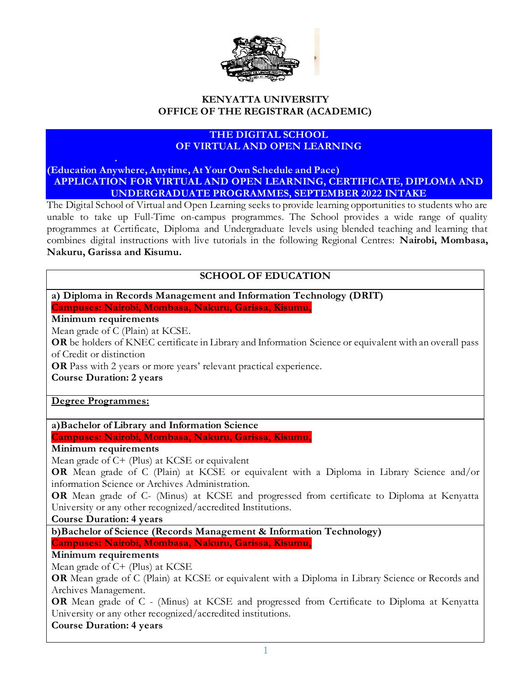

#### **KENYATTA UNIVERSITY OFFICE OF THE REGISTRAR (ACADEMIC)**

### **THE DIGITAL SCHOOL OF VIRTUAL AND OPEN LEARNING**

**(Education Anywhere, Anytime, At Your Own Schedule and Pace) APPLICATION FOR VIRTUAL AND OPEN LEARNING, CERTIFICATE, DIPLOMA AND UNDERGRADUATE PROGRAMMES, SEPTEMBER 2022 INTAKE**

The Digital School of Virtual and Open Learning seeks to provide learning opportunities to students who are unable to take up Full-Time on-campus programmes. The School provides a wide range of quality programmes at Certificate, Diploma and Undergraduate levels using blended teaching and learning that combines digital instructions with live tutorials in the following Regional Centres: **Nairobi, Mombasa, Nakuru, Garissa and Kisumu.**

### **SCHOOL OF EDUCATION**

**a) Diploma in Records Management and Information Technology (DRIT) Campuses: Nairobi, Mombasa, Nakuru, Garissa, Kisumu,** 

#### **Minimum requirements**

Mean grade of C (Plain) at KCSE.

**OR** be holders of KNEC certificate in Library and Information Science or equivalent with an overall pass of Credit or distinction

**OR** Pass with 2 years or more years' relevant practical experience.

**Course Duration: 2 years**

#### **Degree Programmes:**

**a)Bachelor of Library and Information Science** 

**Campuses: Nairobi, Mombasa, Nakuru, Garissa, Kisumu,** 

#### **Minimum requirements**

Mean grade of C+ (Plus) at KCSE or equivalent

**OR** Mean grade of C (Plain) at KCSE or equivalent with a Diploma in Library Science and/or information Science or Archives Administration.

**OR** Mean grade of C- (Minus) at KCSE and progressed from certificate to Diploma at Kenyatta University or any other recognized/accredited Institutions.

#### **Course Duration: 4 years**

**b)Bachelor of Science (Records Management & Information Technology)**

**Campuses: Nairobi, Mombasa, Nakuru, Garissa, Kisumu,** 

#### **Minimum requirements**

Mean grade of C+ (Plus) at KCSE

**OR** Mean grade of C (Plain) at KCSE or equivalent with a Diploma in Library Science or Records and Archives Management.

**OR** Mean grade of C - (Minus) at KCSE and progressed from Certificate to Diploma at Kenyatta University or any other recognized/accredited institutions.

#### **Course Duration: 4 years**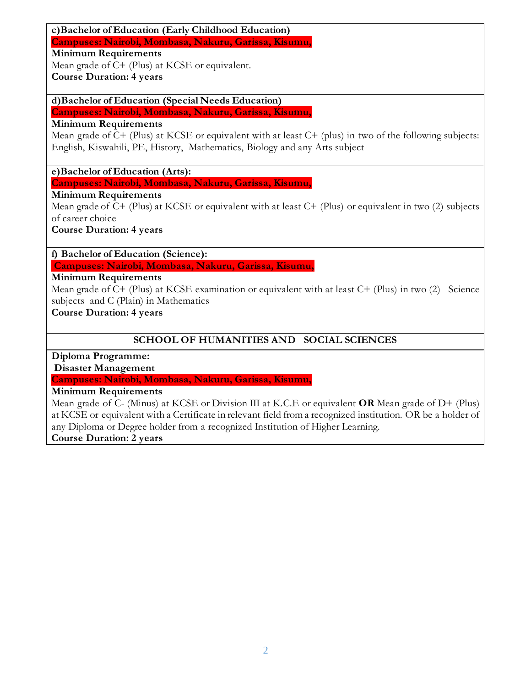# **c)Bachelor of Education (Early Childhood Education)**

**Campuses: Nairobi, Mombasa, Nakuru, Garissa, Kisumu,** 

**Minimum Requirements**

Mean grade of C+ (Plus) at KCSE or equivalent.

**Course Duration: 4 years**

**d)Bachelor of Education (Special Needs Education)** 

**Campuses: Nairobi, Mombasa, Nakuru, Garissa, Kisumu,** 

**Minimum Requirements**

Mean grade of C+ (Plus) at KCSE or equivalent with at least C+ (plus) in two of the following subjects: English, Kiswahili, PE, History, Mathematics, Biology and any Arts subject

**e)Bachelor of Education (Arts):**

**Campuses: Nairobi, Mombasa, Nakuru, Garissa, Kisumu,** 

**Minimum Requirements**

Mean grade of  $C+$  (Plus) at KCSE or equivalent with at least  $C+$  (Plus) or equivalent in two (2) subjects of career choice

**Course Duration: 4 years**

**f) Bachelor of Education (Science):**

**Campuses: Nairobi, Mombasa, Nakuru, Garissa, Kisumu,** 

## **Minimum Requirements**

Mean grade of C+ (Plus) at KCSE examination or equivalent with at least C+ (Plus) in two (2) Science subjects and C (Plain) in Mathematics

**Course Duration: 4 years**

# **SCHOOL OF HUMANITIES AND SOCIAL SCIENCES**

**Diploma Programme:**

**Disaster Management** 

**Campuses: Nairobi, Mombasa, Nakuru, Garissa, Kisumu,** 

**Minimum Requirements**

Mean grade of C- (Minus) at KCSE or Division III at K.C.E or equivalent **OR** Mean grade of D+ (Plus) at KCSE or equivalent with a Certificate in relevant field from a recognized institution. OR be a holder of any Diploma or Degree holder from a recognized Institution of Higher Learning.

**Course Duration: 2 years**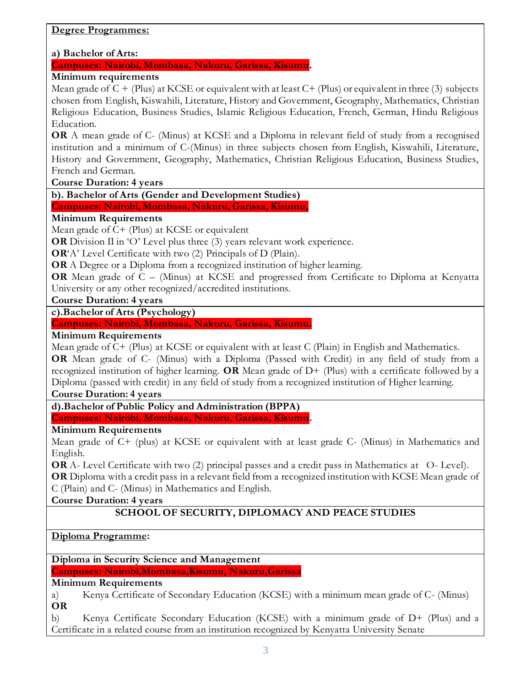#### **Degree Programmes:**

#### **a) Bachelor of Arts:**

**Campuses: Nairobi, Mombasa, Nakuru, Garissa, Kisumu.**

## **Minimum requirements**

Mean grade of  $C + (Plus)$  at KCSE or equivalent with at least  $C + (Plus)$  or equivalent in three (3) subjects chosen from English, Kiswahili, Literature, History and Government, Geography, Mathematics, Christian Religious Education, Business Studies, Islamic Religious Education, French, German, Hindu Religious Education.

**OR** A mean grade of C- (Minus) at KCSE and a Diploma in relevant field of study from a recognised institution and a minimum of C-(Minus) in three subjects chosen from English, Kiswahili, Literature, History and Government, Geography, Mathematics, Christian Religious Education, Business Studies, French and German.

**Course Duration: 4 years**

**b). Bachelor of Arts (Gender and Development Studies)**

**Campuses: Nairobi, Mombasa, Nakuru, Garissa, Kisumu,** 

#### **Minimum Requirements**

Mean grade of C+ (Plus) at KCSE or equivalent

**OR** Division II in 'O' Level plus three (3) years relevant work experience.

**OR**'A' Level Certificate with two (2) Principals of D (Plain).

**OR** A Degree or a Diploma from a recognized institution of higher learning.

**OR** Mean grade of C – (Minus) at KCSE and progressed from Certificate to Diploma at Kenyatta University or any other recognized/accredited institutions.

**Course Duration: 4 years**

## **c).Bachelor of Arts (Psychology)**

#### **Campuses: Nairobi, Mombasa, Nakuru, Garissa, Kisumu.**

#### **Minimum Requirements**

Mean grade of C+ (Plus) at KCSE or equivalent with at least C (Plain) in English and Mathematics.

**OR** Mean grade of C- (Minus) with a Diploma (Passed with Credit) in any field of study from a recognized institution of higher learning. **OR** Mean grade of D+ (Plus) with a certificate followed by a Diploma (passed with credit) in any field of study from a recognized institution of Higher learning.

#### **Course Duration: 4 years**

**d).Bachelor of Public Policy and Administration (BPPA)**

**Campuses: Nairobi, Mombasa, Nakuru, Garissa, Kisumu.**

### **Minimum Requirements**

Mean grade of C+ (plus) at KCSE or equivalent with at least grade C- (Minus) in Mathematics and English.

**OR** A- Level Certificate with two (2) principal passes and a credit pass in Mathematics at O- Level). **OR** Diploma with a credit pass in a relevant field from a recognized institution with KCSE Mean grade of C (Plain) and C- (Minus) in Mathematics and English.

**Course Duration: 4 years**

# **SCHOOL OF SECURITY, DIPLOMACY AND PEACE STUDIES**

### **Diploma Programme:**

**Diploma in Security Science and Management** 

**Campuses: Nairobi,Mombasa,Kisumu, Nakuru,Garissa** 

**Minimum Requirements**

a) Kenya Certificate of Secondary Education (KCSE) with a minimum mean grade of C- (Minus) **OR**

b) Kenya Certificate Secondary Education (KCSE) with a minimum grade of D+ (Plus) and a Certificate in a related course from an institution recognized by Kenyatta University Senate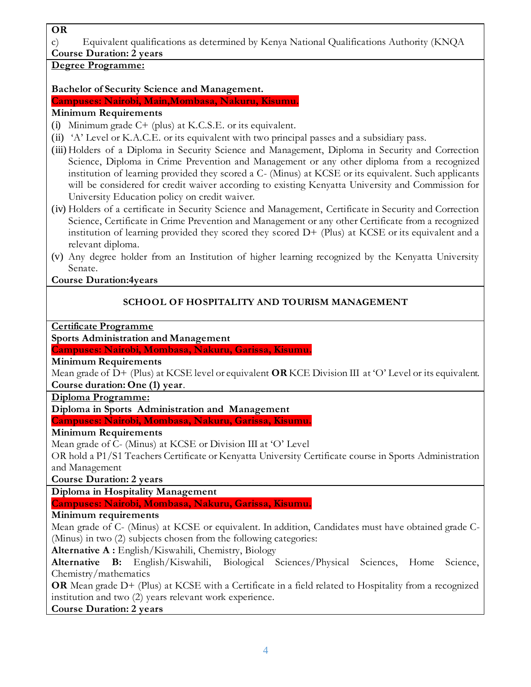#### **OR**

c) Equivalent qualifications as determined by Kenya National Qualifications Authority (KNQA

# **Course Duration: 2 years**

# **Degree Programme:**

## **Bachelor of Security Science and Management.**

**Campuses: Nairobi, Main,Mombasa, Nakuru, Kisumu.**

# **Minimum Requirements**

- (i) Minimum grade  $C+$  (plus) at K.C.S.E. or its equivalent.
- (ii) 'A' Level or K.A.C.E. or its equivalent with two principal passes and a subsidiary pass.
- (iii) Holders of a Diploma in Security Science and Management, Diploma in Security and Correction Science, Diploma in Crime Prevention and Management or any other diploma from a recognized institution of learning provided they scored a C- (Minus) at KCSE or its equivalent. Such applicants will be considered for credit waiver according to existing Kenyatta University and Commission for University Education policy on credit waiver.
- (iv) Holders of a certificate in Security Science and Management, Certificate in Security and Correction Science, Certificate in Crime Prevention and Management or any other Certificate from a recognized institution of learning provided they scored they scored D+ (Plus) at KCSE or its equivalent and a relevant diploma.
- (v) Any degree holder from an Institution of higher learning recognized by the Kenyatta University Senate.

# **Course Duration:4years**

# **SCHOOL OF HOSPITALITY AND TOURISM MANAGEMENT**

**Certificate Programme**

# **Sports Administration and Management**

# **Campuses: Nairobi, Mombasa, Nakuru, Garissa, Kisumu.**

# **Minimum Requirements**

Mean grade of D+ (Plus) at KCSE level or equivalent **OR** KCE Division III at 'O' Level or its equivalent. **Course duration: One (1) year**.

### **Diploma Programme:**

**Diploma in Sports Administration and Management**

**Campuses: Nairobi, Mombasa, Nakuru, Garissa, Kisumu.**

# **Minimum Requirements**

Mean grade of C- (Minus) at KCSE or Division III at 'O' Level

OR hold a P1/S1 Teachers Certificate or Kenyatta University Certificate course in Sports Administration and Management

**Course Duration: 2 years**

**Diploma in Hospitality Management** 

**Campuses: Nairobi, Mombasa, Nakuru, Garissa, Kisumu.**

# **Minimum requirements**

Mean grade of C- (Minus) at KCSE or equivalent. In addition, Candidates must have obtained grade C- (Minus) in two (2) subjects chosen from the following categories:

**Alternative A :** English/Kiswahili, Chemistry, Biology

**Alternative B:** English/Kiswahili, Biological Sciences/Physical Sciences, Home Science, Chemistry/mathematics

**OR** Mean grade D+ (Plus) at KCSE with a Certificate in a field related to Hospitality from a recognized institution and two (2) years relevant work experience.

**Course Duration: 2 years**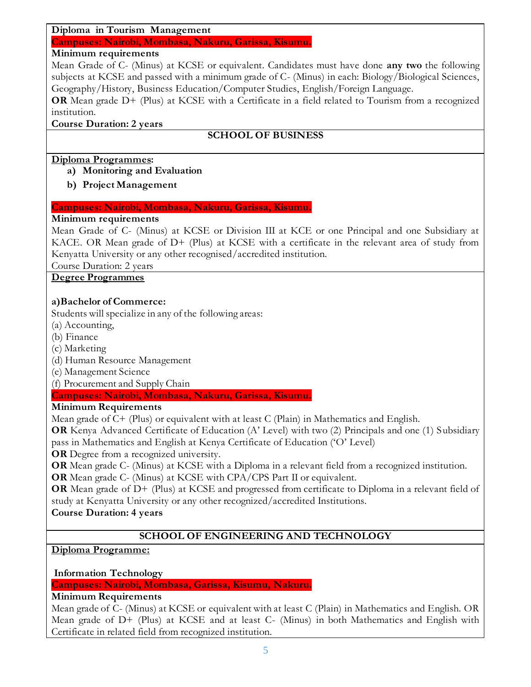#### **Diploma in Tourism Management**

**Campuses: Nairobi, Mombasa, Nakuru, Garissa, Kisumu.**

## **Minimum requirements**

Mean Grade of C- (Minus) at KCSE or equivalent. Candidates must have done **any two** the following subjects at KCSE and passed with a minimum grade of C- (Minus) in each: Biology/Biological Sciences, Geography/History, Business Education/Computer Studies, English/Foreign Language.

**OR** Mean grade D+ (Plus) at KCSE with a Certificate in a field related to Tourism from a recognized institution.

#### **Course Duration: 2 years**

# **SCHOOL OF BUSINESS**

### **Diploma Programmes:**

- **a) Monitoring and Evaluation**
- **b) Project Management**

### **Campuses: Nairobi, Mombasa, Nakuru, Garissa, Kisumu.**

### **Minimum requirements**

Mean Grade of C- (Minus) at KCSE or Division III at KCE or one Principal and one Subsidiary at KACE. OR Mean grade of D+ (Plus) at KCSE with a certificate in the relevant area of study from Kenyatta University or any other recognised/accredited institution.

Course Duration: 2 years

### **Degree Programmes**

### **a)Bachelor of Commerce:**

Students will specialize in any of the following areas:

- (a) Accounting,
- (b) Finance
- (c) Marketing
- (d) Human Resource Management
- (e) Management Science

(f) Procurement and Supply Chain

### **Campuses: Nairobi, Mombasa, Nakuru, Garissa, Kisumu.**

### **Minimum Requirements**

Mean grade of C+ (Plus) or equivalent with at least C (Plain) in Mathematics and English.

**OR** Kenya Advanced Certificate of Education (A' Level) with two (2) Principals and one (1) Subsidiary pass in Mathematics and English at Kenya Certificate of Education ('O' Level)

**OR** Degree from a recognized university.

**OR** Mean grade C- (Minus) at KCSE with a Diploma in a relevant field from a recognized institution.

**OR** Mean grade C- (Minus) at KCSE with CPA/CPS Part II or equivalent.

**OR** Mean grade of D+ (Plus) at KCSE and progressed from certificate to Diploma in a relevant field of study at Kenyatta University or any other recognized/accredited Institutions.

# **Course Duration: 4 years**

# **SCHOOL OF ENGINEERING AND TECHNOLOGY**

# **Diploma Programme:**

**Information Technology**

**Campuses: Nairobi, Mombasa, Garissa, Kisumu, Nakuru.**

### **Minimum Requirements**

Mean grade of C- (Minus) at KCSE or equivalent with at least C (Plain) in Mathematics and English. OR Mean grade of D+ (Plus) at KCSE and at least C- (Minus) in both Mathematics and English with Certificate in related field from recognized institution.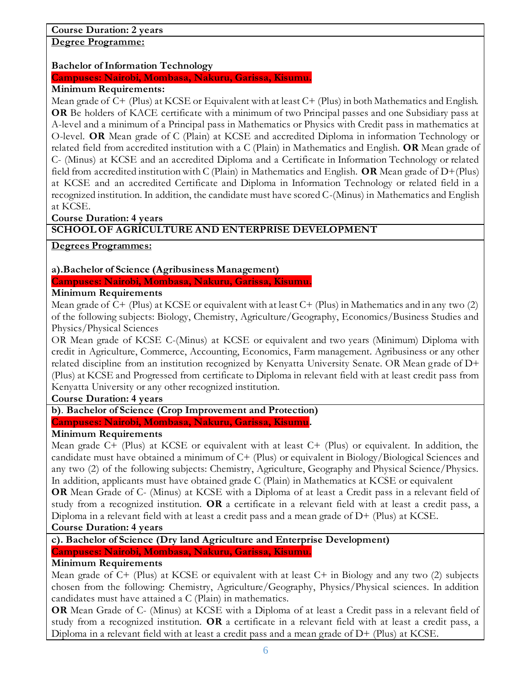# **Course Duration: 2 years**

**Degree Programme:**

### **Bachelor of Information Technology**

**Campuses: Nairobi, Mombasa, Nakuru, Garissa, Kisumu.**

#### **Minimum Requirements:**

Mean grade of C+ (Plus) at KCSE or Equivalent with at least C+ (Plus) in both Mathematics and English. **OR** Be holders of KACE certificate with a minimum of two Principal passes and one Subsidiary pass at A-level and a minimum of a Principal pass in Mathematics or Physics with Credit pass in mathematics at O-level. **OR** Mean grade of C (Plain) at KCSE and accredited Diploma in information Technology or related field from accredited institution with a C (Plain) in Mathematics and English. **OR** Mean grade of C- (Minus) at KCSE and an accredited Diploma and a Certificate in Information Technology or related field from accredited institution with C (Plain) in Mathematics and English. **OR** Mean grade of D+(Plus) at KCSE and an accredited Certificate and Diploma in Information Technology or related field in a recognized institution. In addition, the candidate must have scored C-(Minus) in Mathematics and English at KCSE.

**Course Duration: 4 years**

## **SCHOOL OF AGRICULTURE AND ENTERPRISE DEVELOPMENT**

**Degrees Programmes:**

### **a).Bachelor of Science (Agribusiness Management)**

**Campuses: Nairobi, Mombasa, Nakuru, Garissa, Kisumu.**

### **Minimum Requirements**

Mean grade of C+ (Plus) at KCSE or equivalent with at least C+ (Plus) in Mathematics and in any two (2) of the following subjects: Biology, Chemistry, Agriculture/Geography, Economics/Business Studies and Physics/Physical Sciences

OR Mean grade of KCSE C-(Minus) at KCSE or equivalent and two years (Minimum) Diploma with credit in Agriculture, Commerce, Accounting, Economics, Farm management. Agribusiness or any other related discipline from an institution recognized by Kenyatta University Senate. OR Mean grade of D+ (Plus) at KCSE and Progressed from certificate to Diploma in relevant field with at least credit pass from Kenyatta University or any other recognized institution.

**Course Duration: 4 years**

# **b)**. **Bachelor of Science (Crop Improvement and Protection)**

**Campuses: Nairobi, Mombasa, Nakuru, Garissa, Kisumu.**

### **Minimum Requirements**

Mean grade C+ (Plus) at KCSE or equivalent with at least C+ (Plus) or equivalent. In addition, the candidate must have obtained a minimum of C+ (Plus) or equivalent in Biology/Biological Sciences and any two (2) of the following subjects: Chemistry, Agriculture, Geography and Physical Science/Physics. In addition, applicants must have obtained grade C (Plain) in Mathematics at KCSE or equivalent

**OR** Mean Grade of C- (Minus) at KCSE with a Diploma of at least a Credit pass in a relevant field of study from a recognized institution. **OR** a certificate in a relevant field with at least a credit pass, a Diploma in a relevant field with at least a credit pass and a mean grade of  $D+$  (Plus) at KCSE.

### **Course Duration: 4 years**

**c). Bachelor of Science (Dry land Agriculture and Enterprise Development) Campuses: Nairobi, Mombasa, Nakuru, Garissa, Kisumu.**

### **Minimum Requirements**

Mean grade of C+ (Plus) at KCSE or equivalent with at least C+ in Biology and any two (2) subjects chosen from the following: Chemistry, Agriculture/Geography, Physics/Physical sciences. In addition candidates must have attained a C (Plain) in mathematics.

**OR** Mean Grade of C- (Minus) at KCSE with a Diploma of at least a Credit pass in a relevant field of study from a recognized institution. **OR** a certificate in a relevant field with at least a credit pass, a Diploma in a relevant field with at least a credit pass and a mean grade of D+ (Plus) at KCSE.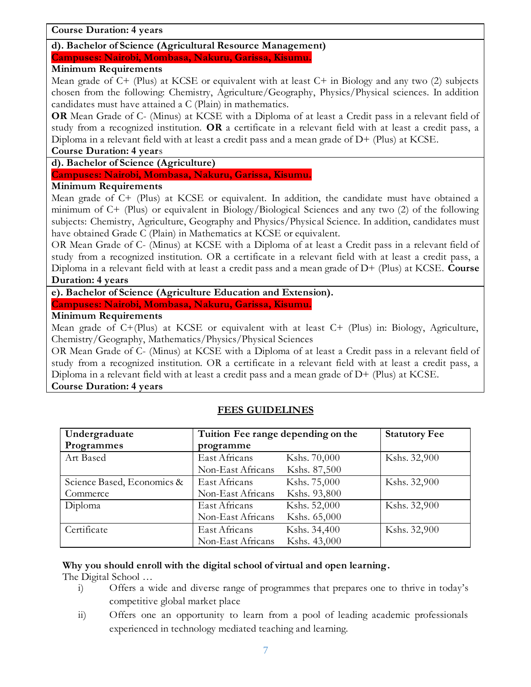#### **Course Duration: 4 years**

#### **d). Bachelor of Science (Agricultural Resource Management)**

**Campuses: Nairobi, Mombasa, Nakuru, Garissa, Kisumu.**

#### **Minimum Requirements**

Mean grade of C+ (Plus) at KCSE or equivalent with at least C+ in Biology and any two (2) subjects chosen from the following: Chemistry, Agriculture/Geography, Physics/Physical sciences. In addition candidates must have attained a C (Plain) in mathematics.

**OR** Mean Grade of C- (Minus) at KCSE with a Diploma of at least a Credit pass in a relevant field of study from a recognized institution. **OR** a certificate in a relevant field with at least a credit pass, a Diploma in a relevant field with at least a credit pass and a mean grade of D+ (Plus) at KCSE.

#### **Course Duration: 4 year**s

**d). Bachelor of Science (Agriculture)**

**Campuses: Nairobi, Mombasa, Nakuru, Garissa, Kisumu.**

#### **Minimum Requirements**

Mean grade of C+ (Plus) at KCSE or equivalent. In addition, the candidate must have obtained a minimum of C+ (Plus) or equivalent in Biology/Biological Sciences and any two (2) of the following subjects: Chemistry, Agriculture, Geography and Physics/Physical Science. In addition, candidates must have obtained Grade C (Plain) in Mathematics at KCSE or equivalent.

OR Mean Grade of C- (Minus) at KCSE with a Diploma of at least a Credit pass in a relevant field of study from a recognized institution. OR a certificate in a relevant field with at least a credit pass, a Diploma in a relevant field with at least a credit pass and a mean grade of D+ (Plus) at KCSE. **Course Duration: 4 years**

#### **e). Bachelor of Science (Agriculture Education and Extension).**

**Campuses: Nairobi, Mombasa, Nakuru, Garissa, Kisumu.**

#### **Minimum Requirements**

Mean grade of C+(Plus) at KCSE or equivalent with at least C+ (Plus) in: Biology, Agriculture, Chemistry/Geography, Mathematics/Physics/Physical Sciences

OR Mean Grade of C- (Minus) at KCSE with a Diploma of at least a Credit pass in a relevant field of study from a recognized institution. OR a certificate in a relevant field with at least a credit pass, a Diploma in a relevant field with at least a credit pass and a mean grade of D+ (Plus) at KCSE. **Course Duration: 4 years**

#### **Undergraduate Programmes Tuition Fee range depending on the programme Statutory Fee**  Art Based East Africans Kshs. 70,000 Non-East Africans Kshs. 87,500 Kshs. 32,900 Science Based, Economics & **Commerce** East Africans Kshs. 75,000 Non-East Africans Kshs. 93,800 Kshs. 32,900 Diploma East Africans Kshs. 52,000 Non-East Africans Kshs. 65,000 Kshs. 32,900 Certificate East Africans Kshs. 34,400 Non-East Africans Kshs. 43,000 Kshs. 32,900

# **FEES GUIDELINES**

#### **Why you should enroll with the digital school of virtual and open learning.**

The Digital School …

- i) Offers a wide and diverse range of programmes that prepares one to thrive in today's competitive global market place
- ii) Offers one an opportunity to learn from a pool of leading academic professionals experienced in technology mediated teaching and learning.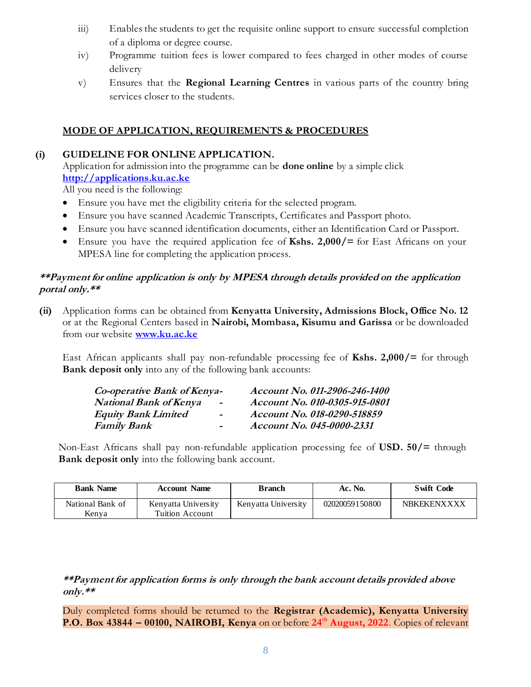- iii) Enables the students to get the requisite online support to ensure successful completion of a diploma or degree course.
- iv) Programme tuition fees is lower compared to fees charged in other modes of course delivery
- v) Ensures that the **Regional Learning Centres** in various parts of the country bring services closer to the students.

# **MODE OF APPLICATION, REQUIREMENTS & PROCEDURES**

#### **(i) GUIDELINE FOR ONLINE APPLICATION.**

Application for admission into the programme can be **done online** by a simple click **[http://applications.ku.ac.ke](http://applications.ku.ac.ke/)**

All you need is the following:

- Ensure you have met the eligibility criteria for the selected program.
- Ensure you have scanned Academic Transcripts, Certificates and Passport photo.
- Ensure you have scanned identification documents, either an Identification Card or Passport.
- Ensure you have the required application fee of **Kshs. 2,000/=** for East Africans on your MPESA line for completing the application process.

#### **\*\*Payment for online application is only by MPESA through details provided on the application portal only.\*\***

**(ii)** Application forms can be obtained from **Kenyatta University, Admissions Block, Office No. 12** or at the Regional Centers based in **Nairobi, Mombasa, Kisumu and Garissa** or be downloaded from our website **[www.ku.ac.ke](http://www.ku.ac.ke/)**

East African applicants shall pay non-refundable processing fee of **Kshs. 2,000/=** for through **Bank deposit only** into any of the following bank accounts:

| Co-operative Bank of Kenya- | Account No. 011-2906-246-1400 |
|-----------------------------|-------------------------------|
| $\overline{\phantom{a}}$    | Account No. 010-0305-915-0801 |
| $\sim$                      | Account No. 018-0290-518859   |
| $\blacksquare$              | Account No. 045-0000-2331     |
|                             |                               |

Non-East Africans shall pay non-refundable application processing fee of **USD. 50/=** through **Bank deposit only** into the following bank account.

| <b>Bank Name</b>          | <b>Account Name</b>                    | Branch              | Ac. No.        | <b>Swift Code</b>  |
|---------------------------|----------------------------------------|---------------------|----------------|--------------------|
| National Bank of<br>Kenva | Kenyatta University<br>Tuition Account | Kenvatta University | 02020059150800 | <b>NBKEKENXXXX</b> |

**\*\*Payment for application forms is only through the bank account details provided above only.\*\***

Duly completed forms should be returned to the **Registrar (Academic), Kenyatta University P.O. Box 43844 – 00100, NAIROBI, Kenya** on or before **24th August, 2022**. Copies of relevant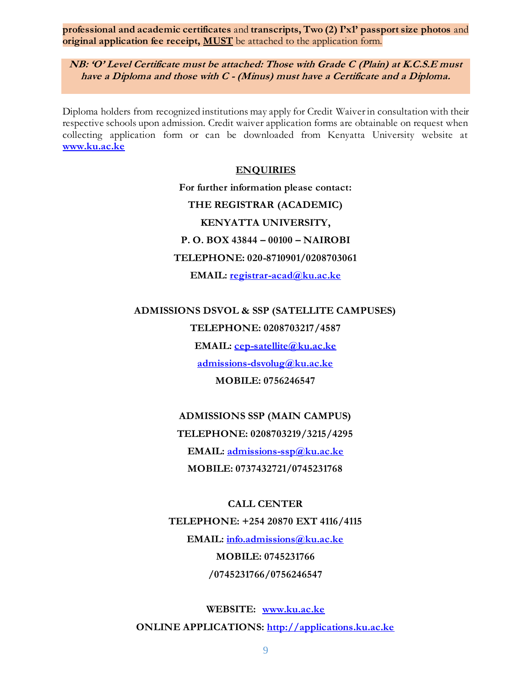**professional and academic certificates** and **transcripts, Two (2) I'x1' passport size photos** and **original application fee receipt, MUST** be attached to the application form.

**NB: 'O' Level Certificate must be attached: Those with Grade C (Plain) at K.C.S.E must have a Diploma and those with C - (Minus) must have a Certificate and a Diploma.**

Diploma holders from recognized institutions may apply for Credit Waiver in consultation with their respective schools upon admission. Credit waiver application forms are obtainable on request when collecting application form or can be downloaded from Kenyatta University website at **[www.ku.ac.ke](http://www.ku.ac.ke/)**

#### **ENQUIRIES**

**For further information please contact: THE REGISTRAR (ACADEMIC) KENYATTA UNIVERSITY, P. O. BOX 43844 – 00100 – NAIROBI TELEPHONE: 020-8710901/0208703061 EMAIL: [registrar-acad@ku.ac.ke](mailto:registrar-acad@ku.ac.ke)**

**ADMISSIONS DSVOL & SSP (SATELLITE CAMPUSES)**

**TELEPHONE: 0208703217/4587 EMAIL: [cep-satellite@ku.ac.ke](mailto:cep-satellite@ku.ac.ke) admissions-dsvolug@ku.ac.ke MOBILE: 0756246547**

**ADMISSIONS SSP (MAIN CAMPUS) TELEPHONE: 0208703219/3215/4295 EMAIL: [admissions-ssp@ku.ac.ke](mailto:admissions-ssp@ku.ac.ke) MOBILE: 0737432721/0745231768**

**CALL CENTER TELEPHONE: +254 20870 EXT 4116/4115 EMAIL: [info.admissions@ku.ac.ke](mailto:info.admissions@ku.ac.ke) MOBILE: 0745231766 /0745231766/0756246547**

**WEBSITE: [www.ku.ac.ke](http://www.ku.ac.ke/)  ONLINE APPLICATIONS: [http://applications.ku.ac.ke](http://applications.ku.ac.ke/)**